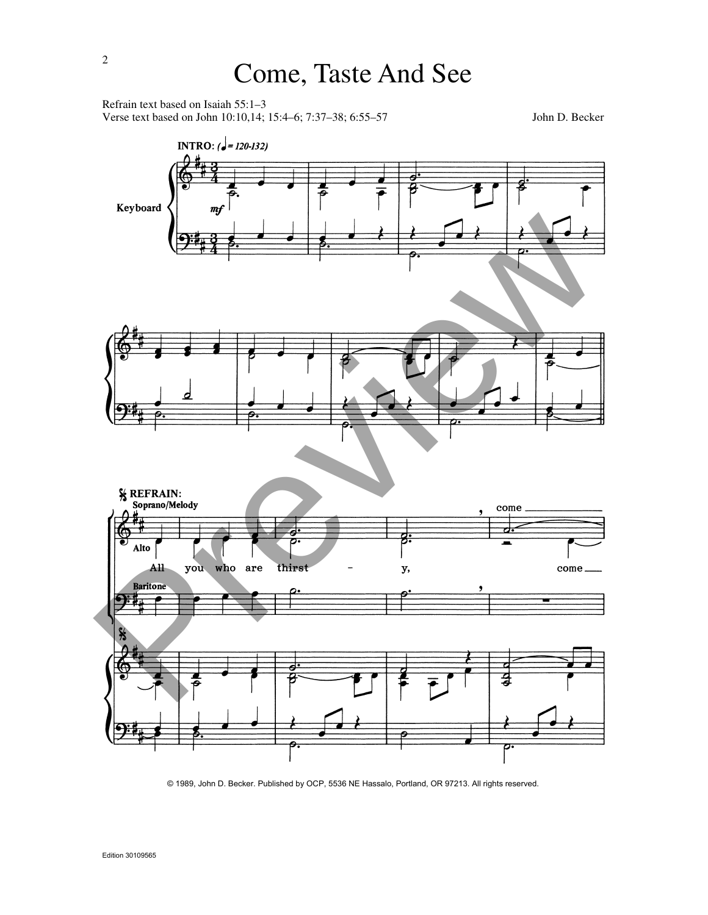Refrain text based on Isaiah 55:1–3 Verse text based on John 10:10,14; 15:4–6; 7:37–38; 6:55–57 John D. Becker



© 1989, John D. Becker. Published by OCP, 5536 NE Hassalo, Portland, OR 97213. All rights reserved.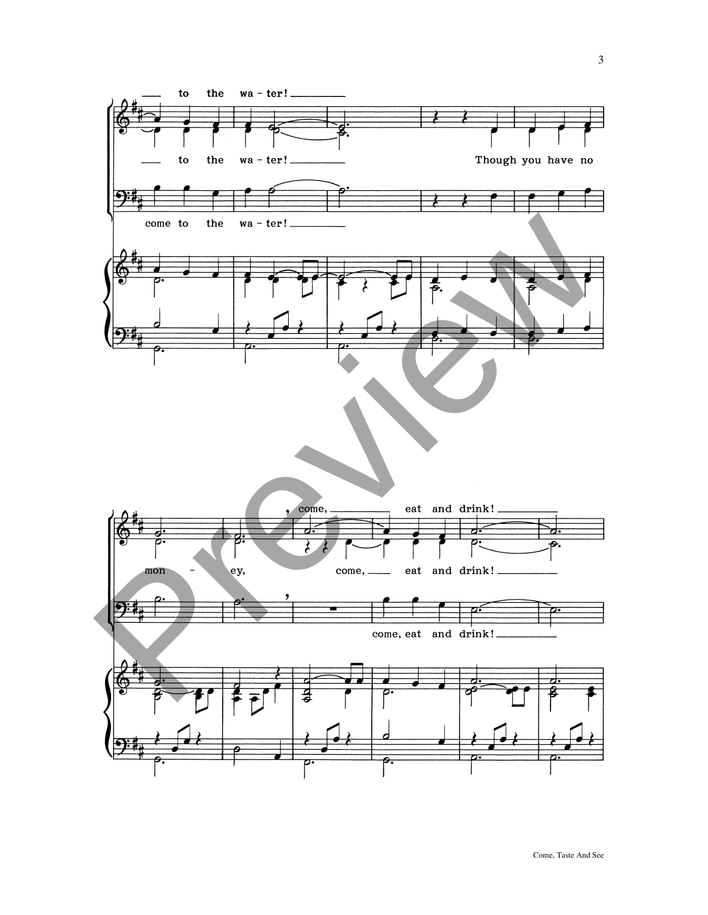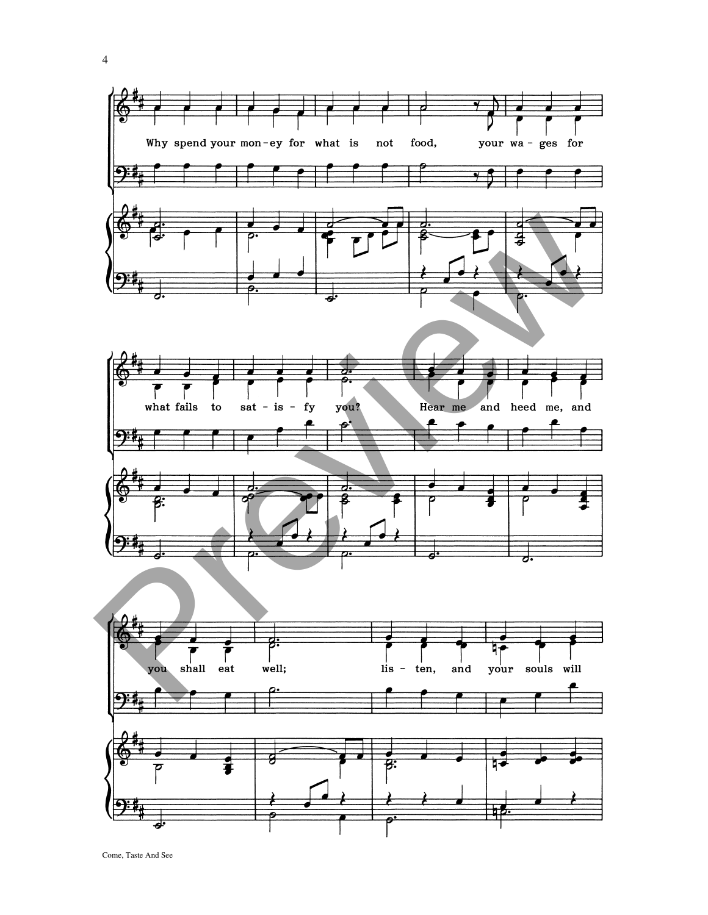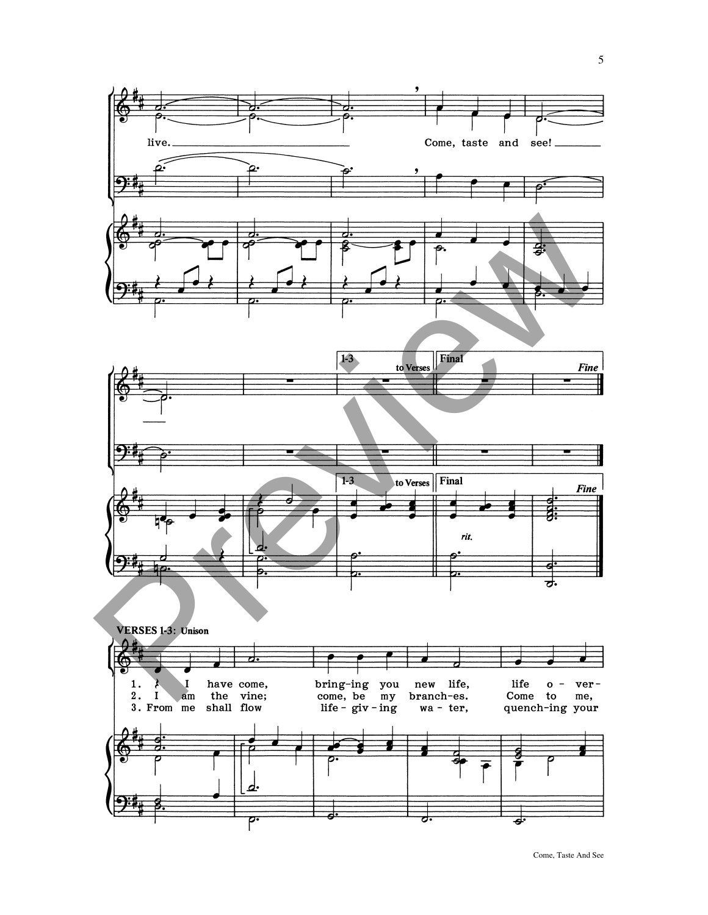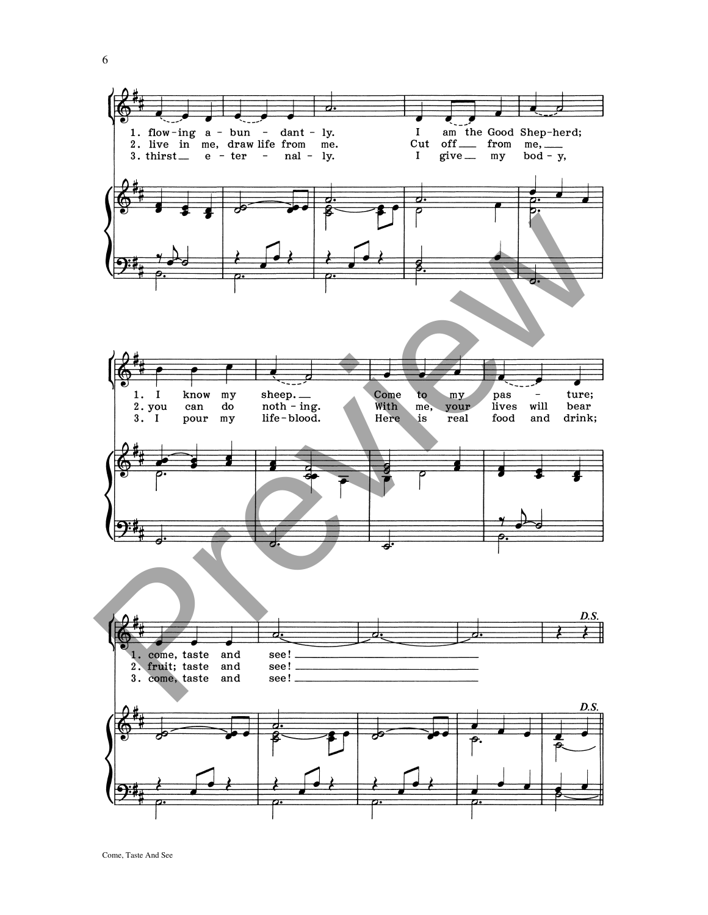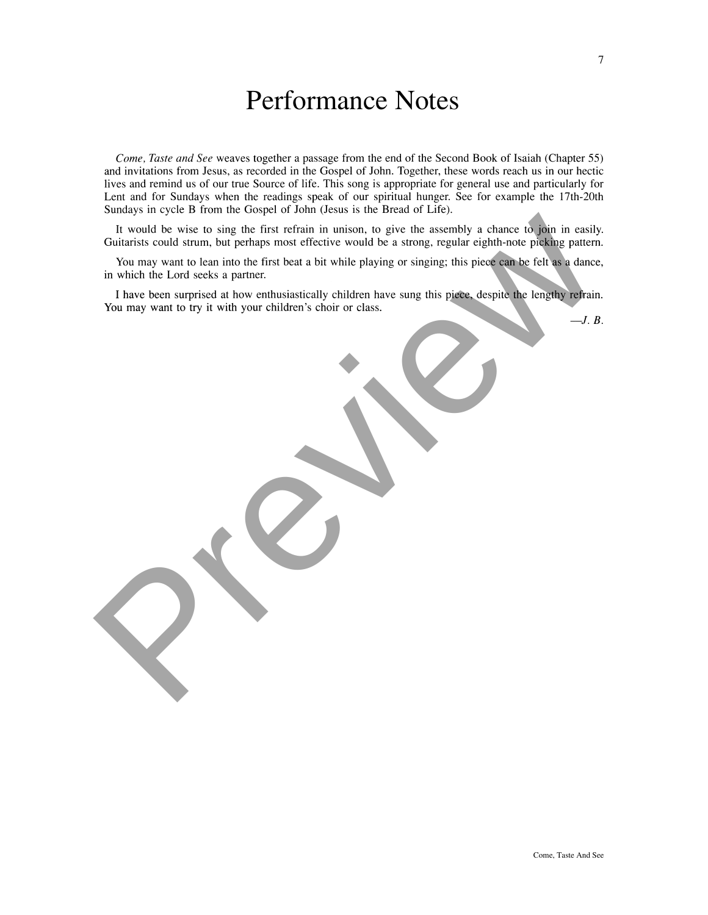## Performance Notes

Come, Taste and See weaves together a passage from the end of the Second Book of Isaiah (Chapter 55) and invitations from Jesus, as recorded in the Gospel of John. Together, these words reach us in our hectic lives and remind us of our true Source of life. This song is appropriate for general use and particularly for Lent and for Sundays when the readings speak of our spiritual hunger. See for example the 17th-20th Sundays in cycle B from the Gospel of John (Jesus is the Bread of Life).

It would be wise to sing the first refinin in unison, to give the assembly a chance of poin in easily<br>Guidarian. but perhaps most effective would be a sirong, regular eight<br>in the Lord seek as parameter would be a strong,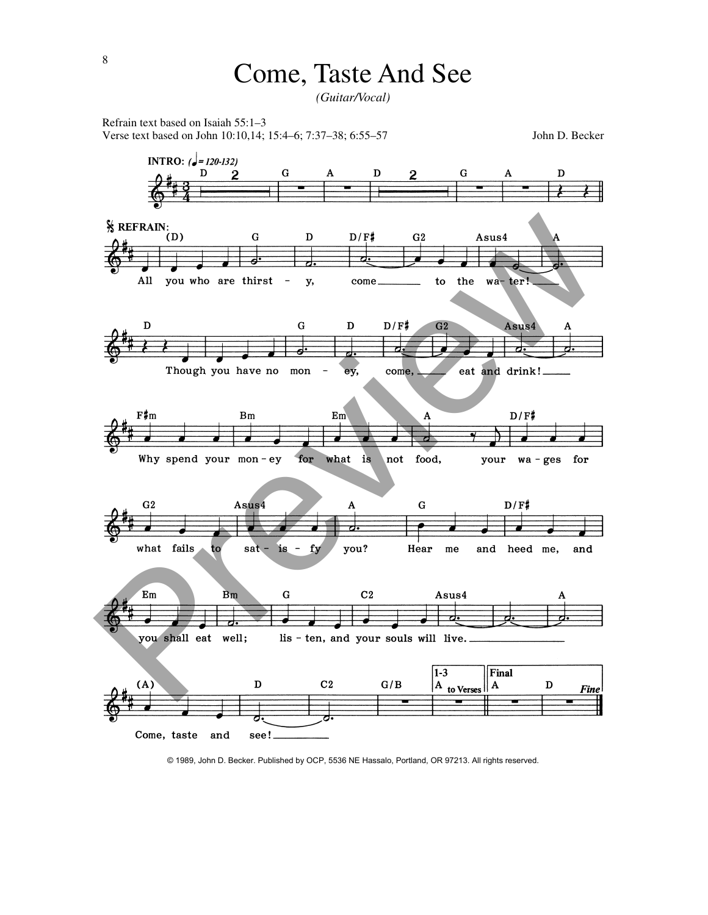*(Guitar/Vocal)*

 $\mathbf D$ 

 $\overline{2}$ 

Refrain text based on Isaiah 55:1–3 Verse text based on John 10:10,14; 15:4–6; 7:37–38; 6:55–57 John D. Becker

 $\mathbf{2}$ 

G

**INTRO:** ( $\sqrt{=}$  120-132)

D

 $\mathbf D$ G



© 1989, John D. Becker. Published by OCP, 5536 NE Hassalo, Portland, OR 97213. All rights reserved.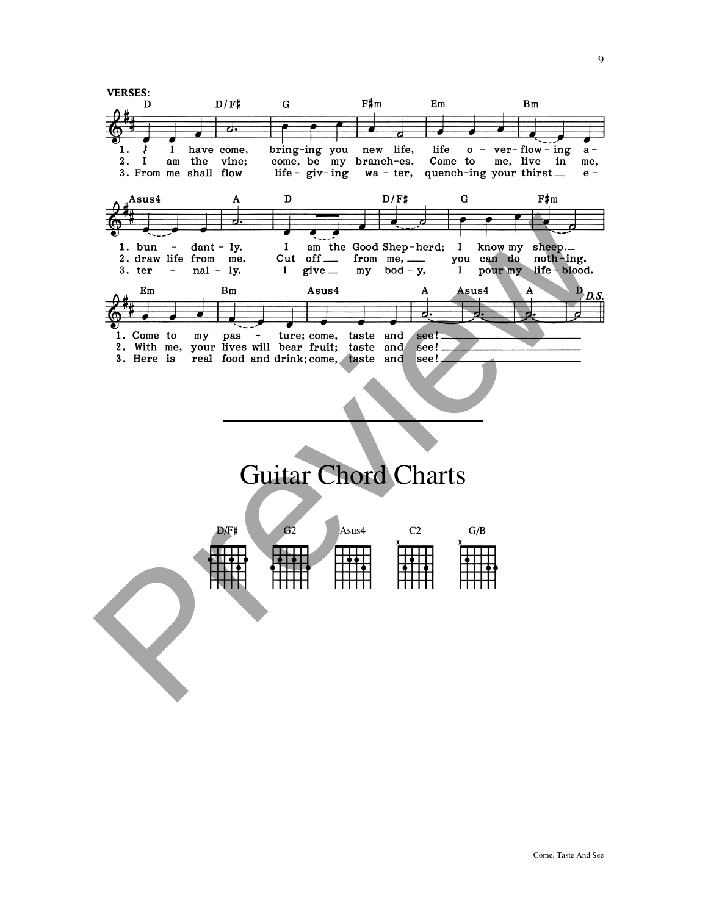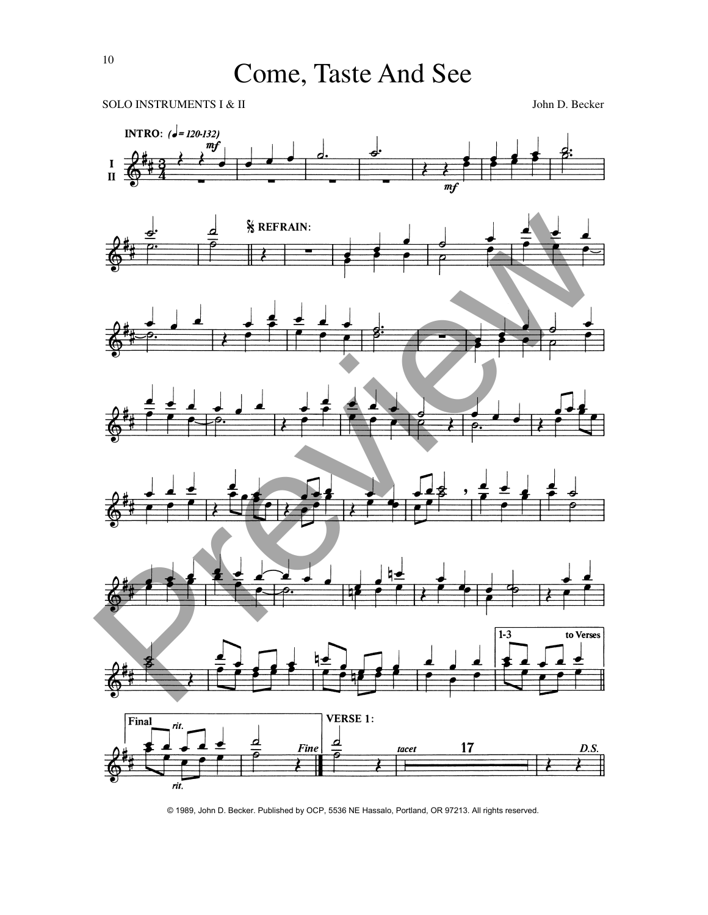



© 1989, John D. Becker. Published by OCP, 5536 NE Hassalo, Portland, OR 97213. All rights reserved.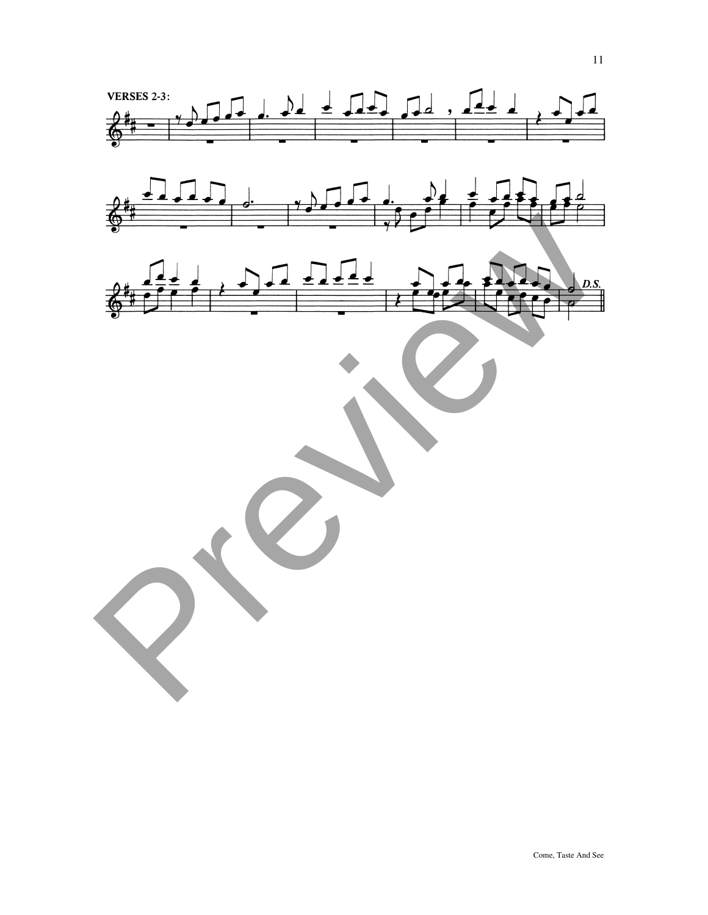